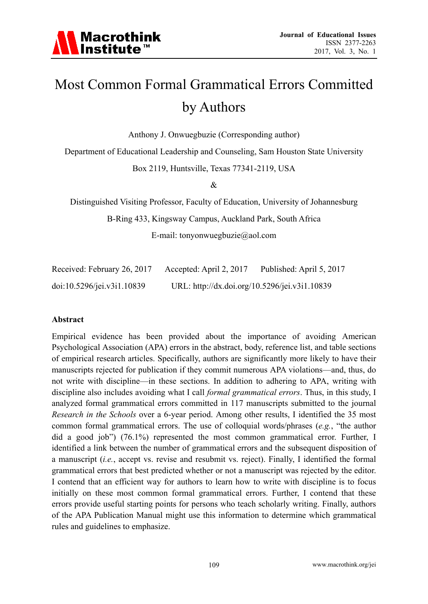

# Most Common Formal Grammatical Errors Committed by Authors

Anthony J. Onwuegbuzie (Corresponding author)

Department of Educational Leadership and Counseling, Sam Houston State University

Box 2119, Huntsville, Texas 77341-2119, USA

&

Distinguished Visiting Professor, Faculty of Education, University of Johannesburg

B-Ring 433, Kingsway Campus, Auckland Park, South Africa

E-mail: tonyonwuegbuzie@aol.com

| Received: February 26, 2017 | Accepted: April 2, 2017                       | Published: April 5, 2017 |
|-----------------------------|-----------------------------------------------|--------------------------|
| doi:10.5296/jei.v3i1.10839  | URL: http://dx.doi.org/10.5296/jei.v3i1.10839 |                          |

#### **Abstract**

Empirical evidence has been provided about the importance of avoiding American Psychological Association (APA) errors in the abstract, body, reference list, and table sections of empirical research articles. Specifically, authors are significantly more likely to have their manuscripts rejected for publication if they commit numerous APA violations—and, thus, do not write with discipline—in these sections. In addition to adhering to APA, writing with discipline also includes avoiding what I call *formal grammatical errors*. Thus, in this study, I analyzed formal grammatical errors committed in 117 manuscripts submitted to the journal *Research in the Schools* over a 6-year period. Among other results, I identified the 35 most common formal grammatical errors. The use of colloquial words/phrases (*e.g.*, "the author did a good job") (76.1%) represented the most common grammatical error. Further, I identified a link between the number of grammatical errors and the subsequent disposition of a manuscript (*i.e.*, accept vs. revise and resubmit vs. reject). Finally, I identified the formal grammatical errors that best predicted whether or not a manuscript was rejected by the editor. I contend that an efficient way for authors to learn how to write with discipline is to focus initially on these most common formal grammatical errors. Further, I contend that these errors provide useful starting points for persons who teach scholarly writing. Finally, authors of the APA Publication Manual might use this information to determine which grammatical rules and guidelines to emphasize.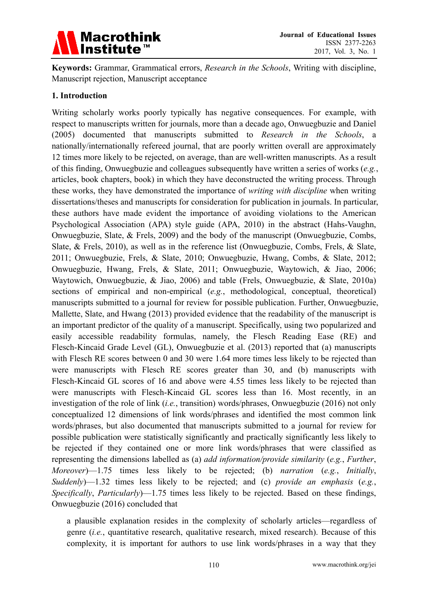

**Keywords:** Grammar, Grammatical errors, *Research in the Schools*, Writing with discipline, Manuscript rejection, Manuscript acceptance

### **1. Introduction**

Writing scholarly works poorly typically has negative consequences. For example, with respect to manuscripts written for journals, more than a decade ago, Onwuegbuzie and Daniel (2005) documented that manuscripts submitted to *Research in the Schools*, a nationally/internationally refereed journal, that are poorly written overall are approximately 12 times more likely to be rejected, on average, than are well-written manuscripts. As a result of this finding, Onwuegbuzie and colleagues subsequently have written a series of works (*e.g.*, articles, book chapters, book) in which they have deconstructed the writing process. Through these works, they have demonstrated the importance of *writing with discipline* when writing dissertations/theses and manuscripts for consideration for publication in journals. In particular, these authors have made evident the importance of avoiding violations to the American Psychological Association (APA) style guide (APA, 2010) in the abstract (Hahs-Vaughn, Onwuegbuzie, Slate, & Frels, 2009) and the body of the manuscript (Onwuegbuzie, Combs, Slate, & Frels, 2010), as well as in the reference list (Onwuegbuzie, Combs, Frels, & Slate, 2011; Onwuegbuzie, Frels, & Slate, 2010; Onwuegbuzie, Hwang, Combs, & Slate, 2012; Onwuegbuzie, Hwang, Frels, & Slate, 2011; Onwuegbuzie, Waytowich, & Jiao, 2006; Waytowich, Onwuegbuzie, & Jiao, 2006) and table (Frels, Onwuegbuzie, & Slate, 2010a) sections of empirical and non-empirical (*e.g.*, methodological, conceptual, theoretical) manuscripts submitted to a journal for review for possible publication. Further, Onwuegbuzie, Mallette, Slate, and Hwang (2013) provided evidence that the readability of the manuscript is an important predictor of the quality of a manuscript. Specifically, using two popularized and easily accessible readability formulas, namely, the Flesch Reading Ease (RE) and Flesch-Kincaid Grade Level (GL), Onwuegbuzie et al. (2013) reported that (a) manuscripts with Flesch RE scores between 0 and 30 were 1.64 more times less likely to be rejected than were manuscripts with Flesch RE scores greater than 30, and (b) manuscripts with Flesch-Kincaid GL scores of 16 and above were 4.55 times less likely to be rejected than were manuscripts with Flesch-Kincaid GL scores less than 16. Most recently, in an investigation of the role of link (*i.e.*, transition) words/phrases, Onwuegbuzie (2016) not only conceptualized 12 dimensions of link words/phrases and identified the most common link words/phrases, but also documented that manuscripts submitted to a journal for review for possible publication were statistically significantly and practically significantly less likely to be rejected if they contained one or more link words/phrases that were classified as representing the dimensions labelled as (a) *add information/provide similarity* (*e.g.*, *Further*, *Moreover*)—1.75 times less likely to be rejected; (b) *narration* (*e.g.*, *Initially*, *Suddenly*)—1.32 times less likely to be rejected; and (c) *provide an emphasis* (*e.g.*, *Specifically*, *Particularly*)—1.75 times less likely to be rejected. Based on these findings, Onwuegbuzie (2016) concluded that

a plausible explanation resides in the complexity of scholarly articles—regardless of genre (*i.e.*, quantitative research, qualitative research, mixed research). Because of this complexity, it is important for authors to use link words/phrases in a way that they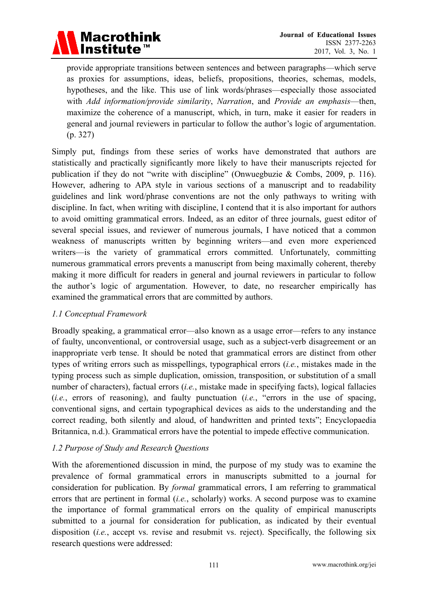

provide appropriate transitions between sentences and between paragraphs—which serve as proxies for assumptions, ideas, beliefs, propositions, theories, schemas, models, hypotheses, and the like. This use of link words/phrases—especially those associated with *Add information/provide similarity*, *Narration*, and *Provide an emphasis*—then, maximize the coherence of a manuscript, which, in turn, make it easier for readers in general and journal reviewers in particular to follow the author's logic of argumentation. (p. 327)

Simply put, findings from these series of works have demonstrated that authors are statistically and practically significantly more likely to have their manuscripts rejected for publication if they do not "write with discipline" (Onwuegbuzie & Combs, 2009, p. 116). However, adhering to APA style in various sections of a manuscript and to readability guidelines and link word/phrase conventions are not the only pathways to writing with discipline. In fact, when writing with discipline, I contend that it is also important for authors to avoid omitting grammatical errors. Indeed, as an editor of three journals, guest editor of several special issues, and reviewer of numerous journals, I have noticed that a common weakness of manuscripts written by beginning writers—and even more experienced writers—is the variety of grammatical errors committed. Unfortunately, committing numerous grammatical errors prevents a manuscript from being maximally coherent, thereby making it more difficult for readers in general and journal reviewers in particular to follow the author's logic of argumentation. However, to date, no researcher empirically has examined the grammatical errors that are committed by authors.

# *1.1 Conceptual Framework*

Broadly speaking, a grammatical error—also known as a usage error—refers to any instance of faulty, unconventional, or controversial usage, such as a subject-verb disagreement or an inappropriate verb tense. It should be noted that grammatical errors are distinct from other types of writing errors such as misspellings, typographical errors (*i.e.*, mistakes made in the typing process such as simple duplication, omission, transposition, or substitution of a small number of characters), factual errors (*i.e.*, mistake made in specifying facts), logical fallacies (*i.e.*, errors of reasoning), and faulty punctuation (*i.e.*, "errors in the use of spacing, conventional signs, and certain typographical devices as aids to the understanding and the correct reading, both silently and aloud, of handwritten and printed texts"; Encyclopaedia Britannica, n.d.). Grammatical errors have the potential to impede effective communication.

# *1.2 Purpose of Study and Research Questions*

With the aforementioned discussion in mind, the purpose of my study was to examine the prevalence of formal grammatical errors in manuscripts submitted to a journal for consideration for publication. By *formal* grammatical errors, I am referring to grammatical errors that are pertinent in formal (*i.e.*, scholarly) works. A second purpose was to examine the importance of formal grammatical errors on the quality of empirical manuscripts submitted to a journal for consideration for publication, as indicated by their eventual disposition (*i.e.*, accept vs. revise and resubmit vs. reject). Specifically, the following six research questions were addressed: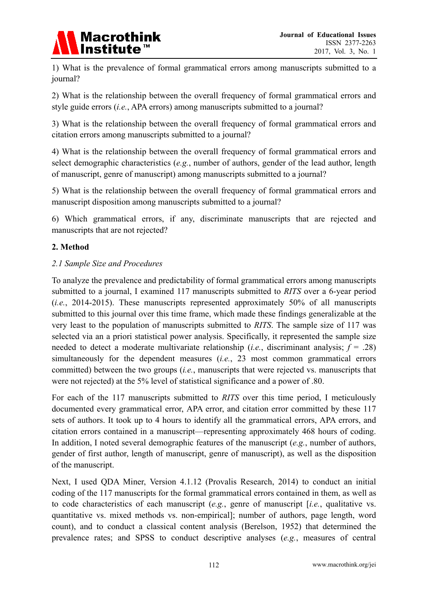

1) What is the prevalence of formal grammatical errors among manuscripts submitted to a journal?

2) What is the relationship between the overall frequency of formal grammatical errors and style guide errors (*i.e.*, APA errors) among manuscripts submitted to a journal?

3) What is the relationship between the overall frequency of formal grammatical errors and citation errors among manuscripts submitted to a journal?

4) What is the relationship between the overall frequency of formal grammatical errors and select demographic characteristics (*e.g.*, number of authors, gender of the lead author, length of manuscript, genre of manuscript) among manuscripts submitted to a journal?

5) What is the relationship between the overall frequency of formal grammatical errors and manuscript disposition among manuscripts submitted to a journal?

6) Which grammatical errors, if any, discriminate manuscripts that are rejected and manuscripts that are not rejected?

# **2. Method**

# *2.1 Sample Size and Procedures*

To analyze the prevalence and predictability of formal grammatical errors among manuscripts submitted to a journal, I examined 117 manuscripts submitted to *RITS* over a 6-year period (*i.e.*, 2014-2015). These manuscripts represented approximately 50% of all manuscripts submitted to this journal over this time frame, which made these findings generalizable at the very least to the population of manuscripts submitted to *RITS*. The sample size of 117 was selected via an a priori statistical power analysis. Specifically, it represented the sample size needed to detect a moderate multivariate relationship (*i.e.*, discriminant analysis; *f* = .28) simultaneously for the dependent measures (*i.e.*, 23 most common grammatical errors committed) between the two groups (*i.e.*, manuscripts that were rejected vs. manuscripts that were not rejected) at the 5% level of statistical significance and a power of .80.

For each of the 117 manuscripts submitted to *RITS* over this time period, I meticulously documented every grammatical error, APA error, and citation error committed by these 117 sets of authors. It took up to 4 hours to identify all the grammatical errors, APA errors, and citation errors contained in a manuscript—representing approximately 468 hours of coding. In addition, I noted several demographic features of the manuscript (*e.g.*, number of authors, gender of first author, length of manuscript, genre of manuscript), as well as the disposition of the manuscript.

Next, I used QDA Miner, Version 4.1.12 (Provalis Research, 2014) to conduct an initial coding of the 117 manuscripts for the formal grammatical errors contained in them, as well as to code characteristics of each manuscript (*e.g.*, genre of manuscript [*i.e.*, qualitative vs. quantitative vs. mixed methods vs. non-empirical]; number of authors, page length, word count), and to conduct a classical content analysis (Berelson, 1952) that determined the prevalence rates; and SPSS to conduct descriptive analyses (*e.g.*, measures of central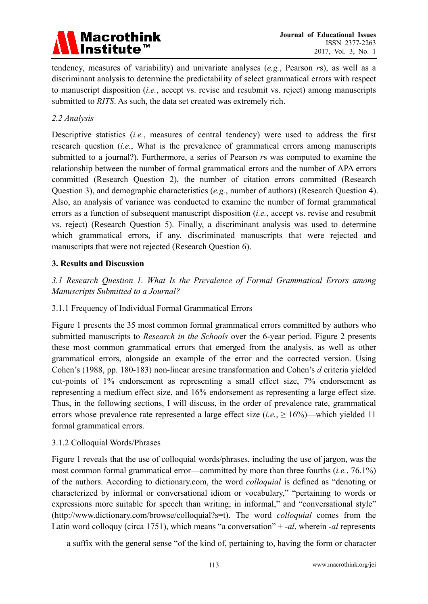# Macrot<mark>hink</mark><br>Institute™

tendency, measures of variability) and univariate analyses (*e.g.*, Pearson *r*s), as well as a discriminant analysis to determine the predictability of select grammatical errors with respect to manuscript disposition (*i.e.*, accept vs. revise and resubmit vs. reject) among manuscripts submitted to *RITS*. As such, the data set created was extremely rich.

# *2.2 Analysis*

Descriptive statistics (*i.e.*, measures of central tendency) were used to address the first research question (*i.e.*, What is the prevalence of grammatical errors among manuscripts submitted to a journal?). Furthermore, a series of Pearson *r*s was computed to examine the relationship between the number of formal grammatical errors and the number of APA errors committed (Research Question 2), the number of citation errors committed (Research Question 3), and demographic characteristics (*e.g.*, number of authors) (Research Question 4). Also, an analysis of variance was conducted to examine the number of formal grammatical errors as a function of subsequent manuscript disposition (*i.e.*, accept vs. revise and resubmit vs. reject) (Research Question 5). Finally, a discriminant analysis was used to determine which grammatical errors, if any, discriminated manuscripts that were rejected and manuscripts that were not rejected (Research Question 6).

# **3. Results and Discussion**

*3.1 Research Question 1. What Is the Prevalence of Formal Grammatical Errors among Manuscripts Submitted to a Journal?* 

# 3.1.1 Frequency of Individual Formal Grammatical Errors

Figure 1 presents the 35 most common formal grammatical errors committed by authors who submitted manuscripts to *Research in the Schools* over the 6-year period. Figure 2 presents these most common grammatical errors that emerged from the analysis, as well as other grammatical errors, alongside an example of the error and the corrected version. Using Cohen's (1988, pp. 180-183) non-linear arcsine transformation and Cohen's *d* criteria yielded cut-points of 1% endorsement as representing a small effect size, 7% endorsement as representing a medium effect size, and 16% endorsement as representing a large effect size. Thus, in the following sections, I will discuss, in the order of prevalence rate, grammatical errors whose prevalence rate represented a large effect size (*i.e.*,  $\geq 16\%$ )—which yielded 11 formal grammatical errors.

# 3.1.2 Colloquial Words/Phrases

Figure 1 reveals that the use of colloquial words/phrases, including the use of jargon, was the most common formal grammatical error—committed by more than three fourths (*i.e.*, 76.1%) of the authors. According to dictionary.com, the word *colloquial* is defined as "denoting or characterized by informal or conversational idiom or vocabulary," "pertaining to words or expressions more suitable for speech than writing; in informal," and "conversational style" (http://www.dictionary.com/browse/colloquial?s=t). The word *colloquial* comes from the Latin word colloquy (circa 1751), which means "a conversation" + -*al*, wherein *-al* represents

a suffix with the general sense "of the kind of, pertaining to, having the form or character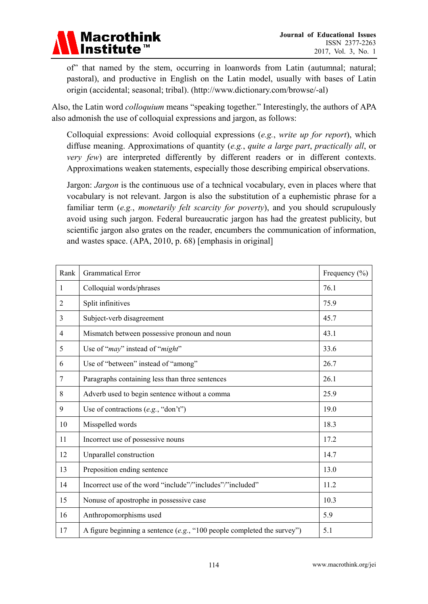

of" that named by the stem, occurring in loanwords from Latin (autumnal; natural; pastoral), and productive in English on the Latin model, usually with bases of Latin origin (accidental; seasonal; tribal). (http://www.dictionary.com/browse/-al)

Also, the Latin word *colloquium* means "speaking together." Interestingly, the authors of APA also admonish the use of colloquial expressions and jargon, as follows:

Colloquial expressions: Avoid colloquial expressions (*e.g.*, *write up for report*), which diffuse meaning. Approximations of quantity (*e.g.*, *quite a large part*, *practically all*, or *very few*) are interpreted differently by different readers or in different contexts. Approximations weaken statements, especially those describing empirical observations.

Jargon: *Jargon* is the continuous use of a technical vocabulary, even in places where that vocabulary is not relevant. Jargon is also the substitution of a euphemistic phrase for a familiar term (*e.g.*, *monetarily felt scarcity for poverty*), and you should scrupulously avoid using such jargon. Federal bureaucratic jargon has had the greatest publicity, but scientific jargon also grates on the reader, encumbers the communication of information, and wastes space. (APA, 2010, p. 68) [emphasis in original]

| Rank           | <b>Grammatical Error</b>                                                  | Frequency $(\% )$ |
|----------------|---------------------------------------------------------------------------|-------------------|
| 1              | Colloquial words/phrases                                                  | 76.1              |
| 2              | Split infinitives                                                         | 75.9              |
| 3              | Subject-verb disagreement                                                 | 45.7              |
| $\overline{4}$ | Mismatch between possessive pronoun and noun                              | 43.1              |
| 5              | Use of "may" instead of "might"                                           | 33.6              |
| 6              | Use of "between" instead of "among"                                       | 26.7              |
| 7              | Paragraphs containing less than three sentences                           | 26.1              |
| 8              | Adverb used to begin sentence without a comma                             | 25.9              |
| 9              | Use of contractions $(e.g., "don't")$                                     | 19.0              |
| 10             | Misspelled words                                                          | 18.3              |
| 11             | Incorrect use of possessive nouns                                         | 17.2              |
| 12             | Unparallel construction                                                   | 14.7              |
| 13             | Preposition ending sentence                                               | 13.0              |
| 14             | Incorrect use of the word "include"/"includes"/"included"                 | 11.2              |
| 15             | Nonuse of apostrophe in possessive case                                   | 10.3              |
| 16             | Anthropomorphisms used                                                    | 5.9               |
| 17             | A figure beginning a sentence $(e.g., "100 people completed the survey")$ | 5.1               |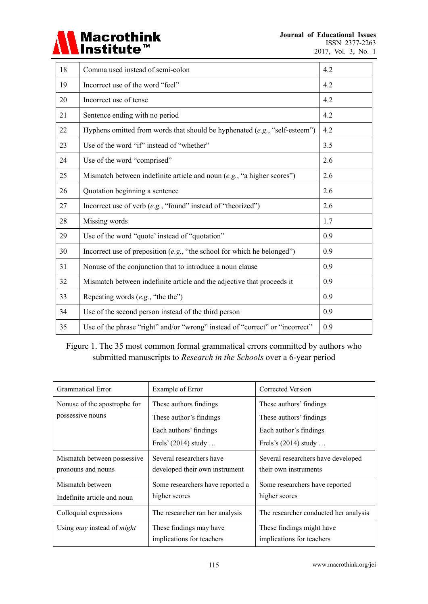

| 18 | Comma used instead of semi-colon                                             | 4.2 |
|----|------------------------------------------------------------------------------|-----|
| 19 | Incorrect use of the word "feel"                                             | 4.2 |
| 20 | Incorrect use of tense                                                       | 4.2 |
| 21 | Sentence ending with no period                                               | 4.2 |
| 22 | Hyphens omitted from words that should be hyphenated $(e.g., "self-esteem")$ | 4.2 |
| 23 | Use of the word "if" instead of "whether"                                    | 3.5 |
| 24 | Use of the word "comprised"                                                  | 2.6 |
| 25 | Mismatch between indefinite article and noun (e.g., "a higher scores")       | 2.6 |
| 26 | Quotation beginning a sentence                                               | 2.6 |
| 27 | Incorrect use of verb (e.g., "found" instead of "theorized")                 | 2.6 |
| 28 | Missing words                                                                | 1.7 |
| 29 | Use of the word "quote' instead of "quotation"                               | 0.9 |
| 30 | Incorrect use of preposition $(e.g., "the school for which he belonged")$    | 0.9 |
| 31 | Nonuse of the conjunction that to introduce a noun clause                    | 0.9 |
| 32 | Mismatch between indefinite article and the adjective that proceeds it       | 0.9 |
| 33 | Repeating words $(e.g., "the the")$                                          | 0.9 |
| 34 | Use of the second person instead of the third person                         | 0.9 |
| 35 | Use of the phrase "right" and/or "wrong" instead of "correct" or "incorrect" | 0.9 |

Figure 1. The 35 most common formal grammatical errors committed by authors who submitted manuscripts to *Research in the Schools* over a 6-year period

| Grammatical Error                        | Example of Error                 | Corrected Version                     |  |
|------------------------------------------|----------------------------------|---------------------------------------|--|
| Nonuse of the apostrophe for             | These authors findings           | These authors' findings               |  |
| possessive nouns                         | These author's findings          | These authors' findings               |  |
|                                          | Each authors' findings           | Each author's findings                |  |
|                                          | Frels' $(2014)$ study            | Frels's $(2014)$ study                |  |
| Mismatch between possessive              | Several researchers have         | Several researchers have developed    |  |
| pronouns and nouns                       | developed their own instrument   | their own instruments                 |  |
| Mismatch between                         | Some researchers have reported a | Some researchers have reported        |  |
| Indefinite article and noun              | higher scores                    | higher scores                         |  |
| Colloquial expressions                   | The researcher ran her analysis  | The researcher conducted her analysis |  |
| Using <i>may</i> instead of <i>might</i> | These findings may have          | These findings might have             |  |
|                                          | implications for teachers        | implications for teachers             |  |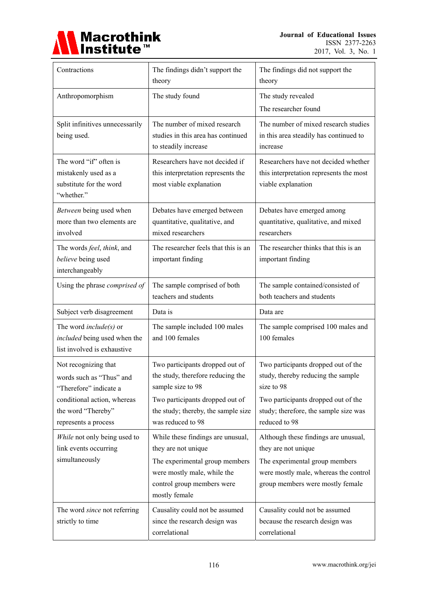

| Contractions                                                                                 | The findings didn't support the<br>theory                                                                                                               | The findings did not support the<br>theory                                                                                                                                 |  |
|----------------------------------------------------------------------------------------------|---------------------------------------------------------------------------------------------------------------------------------------------------------|----------------------------------------------------------------------------------------------------------------------------------------------------------------------------|--|
| Anthropomorphism                                                                             | The study found                                                                                                                                         | The study revealed<br>The researcher found                                                                                                                                 |  |
| Split infinitives unnecessarily<br>being used.                                               | The number of mixed research<br>studies in this area has continued<br>to steadily increase                                                              | The number of mixed research studies<br>in this area steadily has continued to<br>increase                                                                                 |  |
| The word "if" often is<br>mistakenly used as a<br>substitute for the word<br>"whether."      | Researchers have not decided if<br>this interpretation represents the<br>most viable explanation                                                        | Researchers have not decided whether<br>this interpretation represents the most<br>viable explanation                                                                      |  |
| Between being used when<br>more than two elements are<br>involved                            | Debates have emerged between<br>quantitative, qualitative, and<br>mixed researchers                                                                     | Debates have emerged among<br>quantitative, qualitative, and mixed<br>researchers                                                                                          |  |
| The words feel, think, and<br>believe being used<br>interchangeably                          | The researcher feels that this is an<br>important finding                                                                                               | The researcher thinks that this is an<br>important finding                                                                                                                 |  |
| Using the phrase comprised of                                                                | The sample comprised of both<br>teachers and students                                                                                                   | The sample contained/consisted of<br>both teachers and students                                                                                                            |  |
| Subject verb disagreement                                                                    | Data is                                                                                                                                                 | Data are                                                                                                                                                                   |  |
| The word <i>include(s)</i> or<br>included being used when the<br>list involved is exhaustive | The sample included 100 males<br>and 100 females                                                                                                        | The sample comprised 100 males and<br>100 females                                                                                                                          |  |
| Not recognizing that<br>words such as "Thus" and<br>"Therefore" indicate a                   | Two participants dropped out of<br>the study, therefore reducing the<br>sample size to 98                                                               | Two participants dropped out of the<br>study, thereby reducing the sample<br>size to 98                                                                                    |  |
| conditional action, whereas<br>the word "Thereby"<br>represents a process                    | Two participants dropped out of<br>the study; thereby, the sample size<br>was reduced to 98                                                             | Two participants dropped out of the<br>study; therefore, the sample size was<br>reduced to 98                                                                              |  |
| While not only being used to<br>link events occurring<br>simultaneously                      | While these findings are unusual,<br>they are not unique<br>The experimental group members<br>were mostly male, while the<br>control group members were | Although these findings are unusual,<br>they are not unique<br>The experimental group members<br>were mostly male, whereas the control<br>group members were mostly female |  |
|                                                                                              | mostly female                                                                                                                                           |                                                                                                                                                                            |  |
| The word since not referring<br>strictly to time                                             | Causality could not be assumed<br>since the research design was<br>correlational                                                                        | Causality could not be assumed<br>because the research design was<br>correlational                                                                                         |  |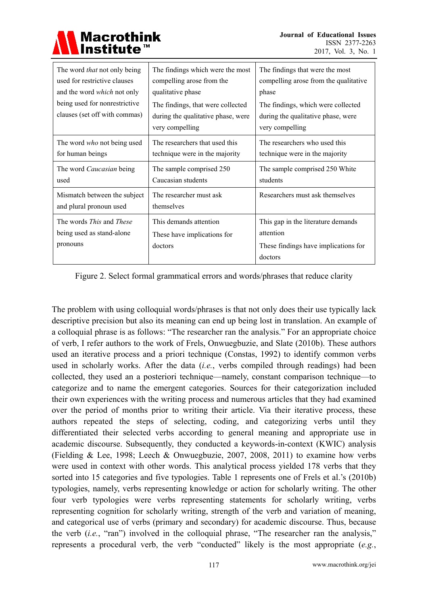

| The word <i>that</i> not only being                                             | The findings which were the most                                                           | The findings that were the most                                                                    |
|---------------------------------------------------------------------------------|--------------------------------------------------------------------------------------------|----------------------------------------------------------------------------------------------------|
| used for restrictive clauses                                                    | compelling arose from the                                                                  | compelling arose from the qualitative                                                              |
| and the word <i>which</i> not only                                              | qualitative phase                                                                          | phase                                                                                              |
| being used for nonrestrictive<br>clauses (set off with commas)                  | The findings, that were collected<br>during the qualitative phase, were<br>very compelling | The findings, which were collected<br>during the qualitative phase, were<br>very compelling        |
| The word <i>who</i> not being used                                              | The researchers that used this                                                             | The researchers who used this                                                                      |
| for human beings                                                                | technique were in the majority                                                             | technique were in the majority                                                                     |
| The word Caucasian being                                                        | The sample comprised 250                                                                   | The sample comprised 250 White                                                                     |
| used                                                                            | Caucasian students                                                                         | students                                                                                           |
| Mismatch between the subject<br>and plural pronoun used                         | The researcher must ask<br>themselves                                                      | Researchers must ask themselves                                                                    |
| The words <i>This</i> and <i>These</i><br>being used as stand-alone<br>pronouns | This demands attention<br>These have implications for<br>doctors                           | This gap in the literature demands<br>attention<br>These findings have implications for<br>doctors |

Figure 2. Select formal grammatical errors and words/phrases that reduce clarity

The problem with using colloquial words/phrases is that not only does their use typically lack descriptive precision but also its meaning can end up being lost in translation. An example of a colloquial phrase is as follows: "The researcher ran the analysis." For an appropriate choice of verb, I refer authors to the work of Frels, Onwuegbuzie, and Slate (2010b). These authors used an iterative process and a priori technique (Constas, 1992) to identify common verbs used in scholarly works. After the data (*i.e.*, verbs compiled through readings) had been collected, they used an a posteriori technique—namely, constant comparison technique—to categorize and to name the emergent categories. Sources for their categorization included their own experiences with the writing process and numerous articles that they had examined over the period of months prior to writing their article. Via their iterative process, these authors repeated the steps of selecting, coding, and categorizing verbs until they differentiated their selected verbs according to general meaning and appropriate use in academic discourse. Subsequently, they conducted a keywords-in-context (KWIC) analysis (Fielding & Lee, 1998; Leech & Onwuegbuzie, 2007, 2008, 2011) to examine how verbs were used in context with other words. This analytical process yielded 178 verbs that they sorted into 15 categories and five typologies. Table 1 represents one of Frels et al.'s (2010b) typologies, namely, verbs representing knowledge or action for scholarly writing. The other four verb typologies were verbs representing statements for scholarly writing, verbs representing cognition for scholarly writing, strength of the verb and variation of meaning, and categorical use of verbs (primary and secondary) for academic discourse. Thus, because the verb (*i.e.*, "ran") involved in the colloquial phrase, "The researcher ran the analysis," represents a procedural verb, the verb "conducted" likely is the most appropriate (*e.g.*,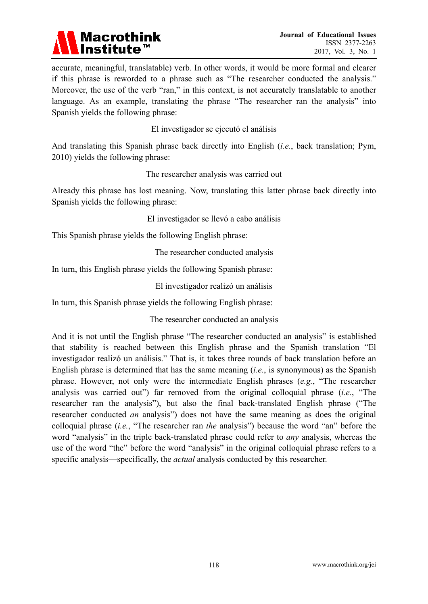

accurate, meaningful, translatable) verb. In other words, it would be more formal and clearer if this phrase is reworded to a phrase such as "The researcher conducted the analysis." Moreover, the use of the verb "ran," in this context, is not accurately translatable to another language. As an example, translating the phrase "The researcher ran the analysis" into Spanish yields the following phrase:

El investigador se ejecutó el análisis

And translating this Spanish phrase back directly into English (*i.e.*, back translation; Pym, 2010) yields the following phrase:

The researcher analysis was carried out

Already this phrase has lost meaning. Now, translating this latter phrase back directly into Spanish yields the following phrase:

El investigador se llevó a cabo análisis

This Spanish phrase yields the following English phrase:

The researcher conducted analysis

In turn, this English phrase yields the following Spanish phrase:

El investigador realizó un análisis

In turn, this Spanish phrase yields the following English phrase:

The researcher conducted an analysis

And it is not until the English phrase "The researcher conducted an analysis" is established that stability is reached between this English phrase and the Spanish translation "El investigador realizó un análisis." That is, it takes three rounds of back translation before an English phrase is determined that has the same meaning (*i.e.*, is synonymous) as the Spanish phrase. However, not only were the intermediate English phrases (*e.g.*, "The researcher analysis was carried out") far removed from the original colloquial phrase (*i.e.*, "The researcher ran the analysis"), but also the final back-translated English phrase ("The researcher conducted *an* analysis") does not have the same meaning as does the original colloquial phrase (*i.e.*, "The researcher ran *the* analysis") because the word "an" before the word "analysis" in the triple back-translated phrase could refer to *any* analysis, whereas the use of the word "the" before the word "analysis" in the original colloquial phrase refers to a specific analysis—specifically, the *actual* analysis conducted by this researcher.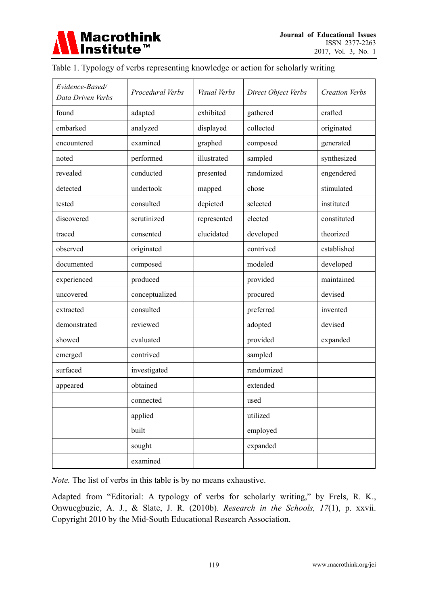

| Table 1. Typology of verbs representing knowledge or action for scholarly writing |  |  |
|-----------------------------------------------------------------------------------|--|--|
|                                                                                   |  |  |
|                                                                                   |  |  |
|                                                                                   |  |  |

| Evidence-Based/<br>Data Driven Verbs | Procedural Verbs | Visual Verbs | Direct Object Verbs | <b>Creation Verbs</b> |
|--------------------------------------|------------------|--------------|---------------------|-----------------------|
| found                                | adapted          | exhibited    | gathered            | crafted               |
| embarked                             | analyzed         | displayed    | collected           | originated            |
| encountered                          | examined         | graphed      | composed            | generated             |
| noted                                | performed        | illustrated  | sampled             | synthesized           |
| revealed                             | conducted        | presented    | randomized          | engendered            |
| detected                             | undertook        | mapped       | chose               | stimulated            |
| tested                               | consulted        | depicted     | selected            | instituted            |
| discovered                           | scrutinized      | represented  | elected             | constituted           |
| traced                               | consented        | elucidated   | developed           | theorized             |
| observed                             | originated       |              | contrived           | established           |
| documented                           | composed         |              | modeled             | developed             |
| experienced                          | produced         |              | provided            | maintained            |
| uncovered                            | conceptualized   |              | procured            | devised               |
| extracted                            | consulted        |              | preferred           | invented              |
| demonstrated                         | reviewed         |              | adopted             | devised               |
| showed                               | evaluated        |              | provided            | expanded              |
| emerged                              | contrived        |              | sampled             |                       |
| surfaced                             | investigated     |              | randomized          |                       |
| appeared                             | obtained         |              | extended            |                       |
|                                      | connected        |              | used                |                       |
|                                      | applied          |              | utilized            |                       |
|                                      | built            |              | employed            |                       |
|                                      | sought           |              | expanded            |                       |
|                                      | examined         |              |                     |                       |

*Note.* The list of verbs in this table is by no means exhaustive.

Adapted from "Editorial: A typology of verbs for scholarly writing," by Frels, R. K., Onwuegbuzie, A. J., & Slate, J. R. (2010b). *Research in the Schools, 17*(1), p. xxvii. Copyright 2010 by the Mid-South Educational Research Association.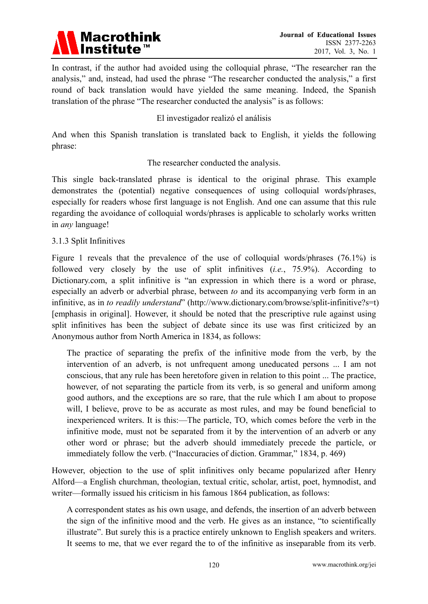

In contrast, if the author had avoided using the colloquial phrase, "The researcher ran the analysis," and, instead, had used the phrase "The researcher conducted the analysis," a first round of back translation would have yielded the same meaning. Indeed, the Spanish translation of the phrase "The researcher conducted the analysis" is as follows:

# El investigador realizó el análisis

And when this Spanish translation is translated back to English, it yields the following phrase:

# The researcher conducted the analysis.

This single back-translated phrase is identical to the original phrase. This example demonstrates the (potential) negative consequences of using colloquial words/phrases, especially for readers whose first language is not English. And one can assume that this rule regarding the avoidance of colloquial words/phrases is applicable to scholarly works written in *any* language!

# 3.1.3 Split Infinitives

Figure 1 reveals that the prevalence of the use of colloquial words/phrases (76.1%) is followed very closely by the use of split infinitives (*i.e.*, 75.9%). According to Dictionary.com, a split infinitive is "an expression in which there is a word or phrase, especially an adverb or adverbial phrase, between *to* and its accompanying verb form in an infinitive, as in *to readily understand*" (http://www.dictionary.com/browse/split-infinitive?s=t) [emphasis in original]. However, it should be noted that the prescriptive rule against using split infinitives has been the subject of debate since its use was first criticized by an Anonymous author from North America in 1834, as follows:

The practice of separating the prefix of the infinitive mode from the verb, by the intervention of an adverb, is not unfrequent among uneducated persons ... I am not conscious, that any rule has been heretofore given in relation to this point ... The practice, however, of not separating the particle from its verb, is so general and uniform among good authors, and the exceptions are so rare, that the rule which I am about to propose will, I believe, prove to be as accurate as most rules, and may be found beneficial to inexperienced writers. It is this:—The particle, TO, which comes before the verb in the infinitive mode, must not be separated from it by the intervention of an adverb or any other word or phrase; but the adverb should immediately precede the particle, or immediately follow the verb. ("Inaccuracies of diction. Grammar," 1834, p. 469)

However, objection to the use of split infinitives only became popularized after Henry Alford—a English churchman, theologian, textual critic, scholar, artist, poet, hymnodist, and writer—formally issued his criticism in his famous 1864 publication, as follows:

A correspondent states as his own usage, and defends, the insertion of an adverb between the sign of the infinitive mood and the verb. He gives as an instance, "to scientifically illustrate". But surely this is a practice entirely unknown to English speakers and writers. It seems to me, that we ever regard the to of the infinitive as inseparable from its verb.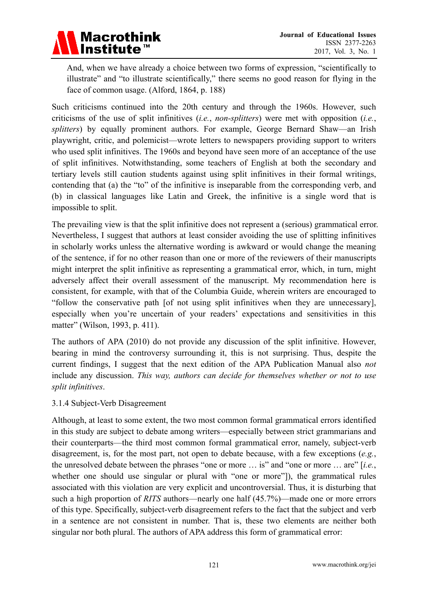

And, when we have already a choice between two forms of expression, "scientifically to illustrate" and "to illustrate scientifically," there seems no good reason for flying in the face of common usage. (Alford, 1864, p. 188)

Such criticisms continued into the 20th century and through the 1960s. However, such criticisms of the use of split infinitives (*i.e.*, *non-splitters*) were met with opposition (*i.e.*, *splitters*) by equally prominent authors. For example, George Bernard Shaw—an Irish playwright, critic, and polemicist—wrote letters to newspapers providing support to writers who used split infinitives. The 1960s and beyond have seen more of an acceptance of the use of split infinitives. Notwithstanding, some teachers of English at both the secondary and tertiary levels still caution students against using split infinitives in their formal writings, contending that (a) the "to" of the infinitive is inseparable from the corresponding verb, and (b) in classical languages like Latin and Greek, the infinitive is a single word that is impossible to split.

The prevailing view is that the split infinitive does not represent a (serious) grammatical error. Nevertheless, I suggest that authors at least consider avoiding the use of splitting infinitives in scholarly works unless the alternative wording is awkward or would change the meaning of the sentence, if for no other reason than one or more of the reviewers of their manuscripts might interpret the split infinitive as representing a grammatical error, which, in turn, might adversely affect their overall assessment of the manuscript. My recommendation here is consistent, for example, with that of the Columbia Guide, wherein writers are encouraged to "follow the conservative path [of not using split infinitives when they are unnecessary], especially when you're uncertain of your readers' expectations and sensitivities in this matter" (Wilson, 1993, p. 411).

The authors of APA (2010) do not provide any discussion of the split infinitive. However, bearing in mind the controversy surrounding it, this is not surprising. Thus, despite the current findings, I suggest that the next edition of the APA Publication Manual also *not* include any discussion. *This way, authors can decide for themselves whether or not to use split infinitives*.

# 3.1.4 Subject-Verb Disagreement

Although, at least to some extent, the two most common formal grammatical errors identified in this study are subject to debate among writers—especially between strict grammarians and their counterparts—the third most common formal grammatical error, namely, subject-verb disagreement, is, for the most part, not open to debate because, with a few exceptions (*e.g.*, the unresolved debate between the phrases "one or more … is" and "one or more … are" [*i.e.*, whether one should use singular or plural with "one or more"]), the grammatical rules associated with this violation are very explicit and uncontroversial. Thus, it is disturbing that such a high proportion of *RITS* authors—nearly one half (45.7%)—made one or more errors of this type. Specifically, subject-verb disagreement refers to the fact that the subject and verb in a sentence are not consistent in number. That is, these two elements are neither both singular nor both plural. The authors of APA address this form of grammatical error: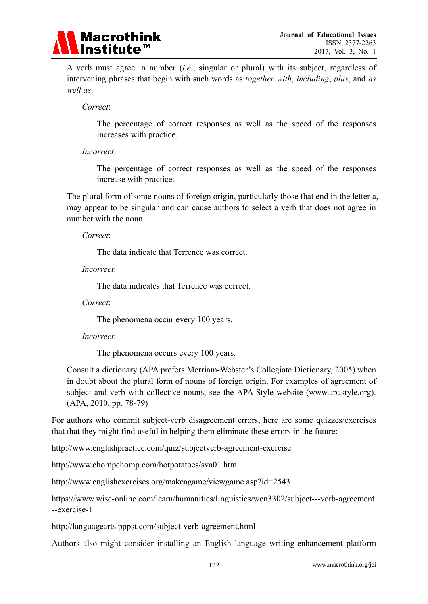

A verb must agree in number (*i.e.*, singular or plural) with its subject, regardless of intervening phrases that begin with such words as *together with*, *including*, *plus*, and *as well as*.

*Correct*:

The percentage of correct responses as well as the speed of the responses increases with practice.

*Incorrect*:

The percentage of correct responses as well as the speed of the responses increase with practice.

The plural form of some nouns of foreign origin, particularly those that end in the letter a, may appear to be singular and can cause authors to select a verb that does not agree in number with the noun.

*Correct*:

The data indicate that Terrence was correct.

*Incorrect*:

The data indicates that Terrence was correct.

*Correct*:

The phenomena occur every 100 years.

*Incorrect*:

The phenomena occurs every 100 years.

Consult a dictionary (APA prefers Merriam-Webster's Collegiate Dictionary, 2005) when in doubt about the plural form of nouns of foreign origin. For examples of agreement of subject and verb with collective nouns, see the APA Style website (www.apastyle.org). (APA, 2010, pp. 78-79)

For authors who commit subject-verb disagreement errors, here are some quizzes/exercises that that they might find useful in helping them eliminate these errors in the future:

http://www.englishpractice.com/quiz/subjectverb-agreement-exercise

http://www.chompchomp.com/hotpotatoes/sva01.htm

http://www.englishexercises.org/makeagame/viewgame.asp?id=2543

https://www.wisc-online.com/learn/humanities/linguistics/wcn3302/subject---verb-agreement --exercise-1

http://languagearts.pppst.com/subject-verb-agreement.html

Authors also might consider installing an English language writing-enhancement platform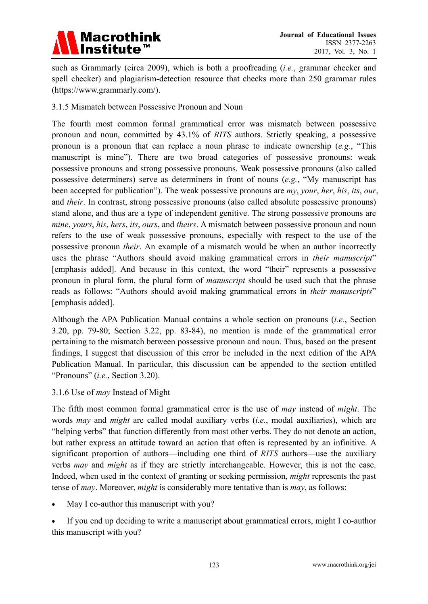

such as Grammarly (circa 2009), which is both a proofreading (*i.e.*, grammar checker and spell checker) and plagiarism-detection resource that checks more than 250 grammar rules (https://www.grammarly.com/).

# 3.1.5 Mismatch between Possessive Pronoun and Noun

The fourth most common formal grammatical error was mismatch between possessive pronoun and noun, committed by 43.1% of *RITS* authors. Strictly speaking, a possessive pronoun is a pronoun that can replace a noun phrase to indicate ownership (*e.g.*, "This manuscript is mine"). There are two broad categories of possessive pronouns: weak possessive pronouns and strong possessive pronouns. Weak possessive pronouns (also called possessive determiners) serve as determiners in front of nouns (*e.g.*, "My manuscript has been accepted for publication"). The weak possessive pronouns are *my*, *your*, *her*, *his*, *its*, *our*, and *their*. In contrast, strong possessive pronouns (also called absolute possessive pronouns) stand alone, and thus are a type of independent genitive. The strong possessive pronouns are *mine*, *yours*, *his*, *hers*, *its*, *ours*, and *theirs*. A mismatch between possessive pronoun and noun refers to the use of weak possessive pronouns, especially with respect to the use of the possessive pronoun *their*. An example of a mismatch would be when an author incorrectly uses the phrase "Authors should avoid making grammatical errors in *their manuscript*" [emphasis added]. And because in this context, the word "their" represents a possessive pronoun in plural form, the plural form of *manuscript* should be used such that the phrase reads as follows: "Authors should avoid making grammatical errors in *their manuscripts*" [emphasis added].

Although the APA Publication Manual contains a whole section on pronouns (*i.e.*, Section 3.20, pp. 79-80; Section 3.22, pp. 83-84), no mention is made of the grammatical error pertaining to the mismatch between possessive pronoun and noun. Thus, based on the present findings, I suggest that discussion of this error be included in the next edition of the APA Publication Manual. In particular, this discussion can be appended to the section entitled "Pronouns" (*i.e.*, Section 3.20).

3.1.6 Use of *may* Instead of Might

The fifth most common formal grammatical error is the use of *may* instead of *might*. The words *may* and *might* are called modal auxiliary verbs (*i.e.*, modal auxiliaries), which are "helping verbs" that function differently from most other verbs. They do not denote an action, but rather express an attitude toward an action that often is represented by an infinitive. A significant proportion of authors—including one third of *RITS* authors—use the auxiliary verbs *may* and *might* as if they are strictly interchangeable. However, this is not the case. Indeed, when used in the context of granting or seeking permission, *might* represents the past tense of *may*. Moreover, *might* is considerably more tentative than is *may*, as follows:

- May I co-author this manuscript with you?
- If you end up deciding to write a manuscript about grammatical errors, might I co-author this manuscript with you?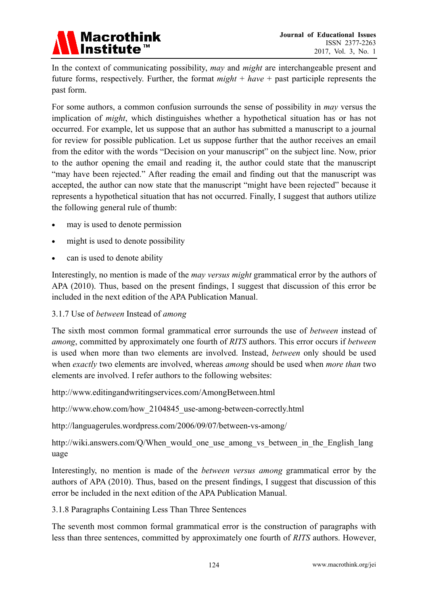

In the context of communicating possibility, *may* and *might* are interchangeable present and future forms, respectively. Further, the format *might* + *have* + past participle represents the past form.

For some authors, a common confusion surrounds the sense of possibility in *may* versus the implication of *might*, which distinguishes whether a hypothetical situation has or has not occurred. For example, let us suppose that an author has submitted a manuscript to a journal for review for possible publication. Let us suppose further that the author receives an email from the editor with the words "Decision on your manuscript" on the subject line. Now, prior to the author opening the email and reading it, the author could state that the manuscript "may have been rejected." After reading the email and finding out that the manuscript was accepted, the author can now state that the manuscript "might have been rejected" because it represents a hypothetical situation that has not occurred. Finally, I suggest that authors utilize the following general rule of thumb:

- may is used to denote permission
- might is used to denote possibility
- can is used to denote ability

Interestingly, no mention is made of the *may versus might* grammatical error by the authors of APA (2010). Thus, based on the present findings, I suggest that discussion of this error be included in the next edition of the APA Publication Manual.

# 3.1.7 Use of *between* Instead of *among*

The sixth most common formal grammatical error surrounds the use of *between* instead of *among*, committed by approximately one fourth of *RITS* authors. This error occurs if *between* is used when more than two elements are involved. Instead, *between* only should be used when *exactly* two elements are involved, whereas *among* should be used when *more than* two elements are involved. I refer authors to the following websites:

http://www.editingandwritingservices.com/AmongBetween.html

http://www.ehow.com/how\_2104845\_use-among-between-correctly.html

http://languagerules.wordpress.com/2006/09/07/between-vs-among/

http://wiki.answers.com/Q/When\_would\_one\_use\_among\_vs\_between\_in\_the\_English\_lang uage

Interestingly, no mention is made of the *between versus among* grammatical error by the authors of APA (2010). Thus, based on the present findings, I suggest that discussion of this error be included in the next edition of the APA Publication Manual.

3.1.8 Paragraphs Containing Less Than Three Sentences

The seventh most common formal grammatical error is the construction of paragraphs with less than three sentences, committed by approximately one fourth of *RITS* authors. However,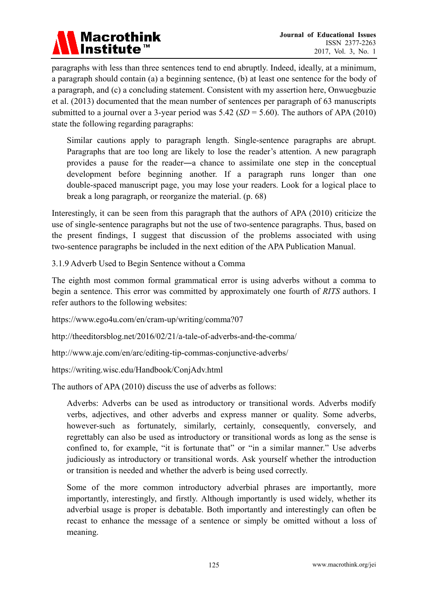

paragraphs with less than three sentences tend to end abruptly. Indeed, ideally, at a minimum, a paragraph should contain (a) a beginning sentence, (b) at least one sentence for the body of a paragraph, and (c) a concluding statement. Consistent with my assertion here, Onwuegbuzie et al. (2013) documented that the mean number of sentences per paragraph of 63 manuscripts submitted to a journal over a 3-year period was  $5.42$  (*SD* = 5.60). The authors of APA (2010) state the following regarding paragraphs:

Similar cautions apply to paragraph length. Single-sentence paragraphs are abrupt. Paragraphs that are too long are likely to lose the reader's attention. A new paragraph provides a pause for the reader―a chance to assimilate one step in the conceptual development before beginning another. If a paragraph runs longer than one double-spaced manuscript page, you may lose your readers. Look for a logical place to break a long paragraph, or reorganize the material. (p. 68)

Interestingly, it can be seen from this paragraph that the authors of APA (2010) criticize the use of single-sentence paragraphs but not the use of two-sentence paragraphs. Thus, based on the present findings, I suggest that discussion of the problems associated with using two-sentence paragraphs be included in the next edition of the APA Publication Manual.

3.1.9 Adverb Used to Begin Sentence without a Comma

The eighth most common formal grammatical error is using adverbs without a comma to begin a sentence. This error was committed by approximately one fourth of *RITS* authors. I refer authors to the following websites:

https://www.ego4u.com/en/cram-up/writing/comma?07

http://theeditorsblog.net/2016/02/21/a-tale-of-adverbs-and-the-comma/

http://www.aje.com/en/arc/editing-tip-commas-conjunctive-adverbs/

https://writing.wisc.edu/Handbook/ConjAdv.html

The authors of APA (2010) discuss the use of adverbs as follows:

Adverbs: Adverbs can be used as introductory or transitional words. Adverbs modify verbs, adjectives, and other adverbs and express manner or quality. Some adverbs, however-such as fortunately, similarly, certainly, consequently, conversely, and regrettably can also be used as introductory or transitional words as long as the sense is confined to, for example, "it is fortunate that" or "in a similar manner." Use adverbs judiciously as introductory or transitional words. Ask yourself whether the introduction or transition is needed and whether the adverb is being used correctly.

Some of the more common introductory adverbial phrases are importantly, more importantly, interestingly, and firstly. Although importantly is used widely, whether its adverbial usage is proper is debatable. Both importantly and interestingly can often be recast to enhance the message of a sentence or simply be omitted without a loss of meaning.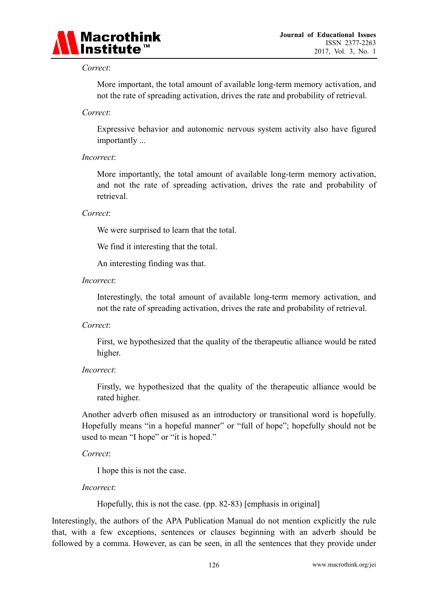

#### *Correct*:

More important, the total amount of available long-term memory activation, and not the rate of spreading activation, drives the rate and probability of retrieval.

#### *Correct*:

Expressive behavior and autonomic nervous system activity also have figured importantly ...

#### *Incorrect*:

More importantly, the total amount of available long-term memory activation, and not the rate of spreading activation, drives the rate and probability of retrieval.

#### *Correct*:

We were surprised to learn that the total.

We find it interesting that the total.

An interesting finding was that.

#### *Incorrect*:

Interestingly, the total amount of available long-term memory activation, and not the rate of spreading activation, drives the rate and probability of retrieval.

#### *Correct*:

First, we hypothesized that the quality of the therapeutic alliance would be rated higher.

#### *Incorrect*:

Firstly, we hypothesized that the quality of the therapeutic alliance would be rated higher.

Another adverb often misused as an introductory or transitional word is hopefully. Hopefully means "in a hopeful manner" or "full of hope"; hopefully should not be used to mean "I hope" or "it is hoped."

#### *Correct*:

I hope this is not the case.

*Incorrect*:

Hopefully, this is not the case. (pp. 82-83) [emphasis in original]

Interestingly, the authors of the APA Publication Manual do not mention explicitly the rule that, with a few exceptions, sentences or clauses beginning with an adverb should be followed by a comma. However, as can be seen, in all the sentences that they provide under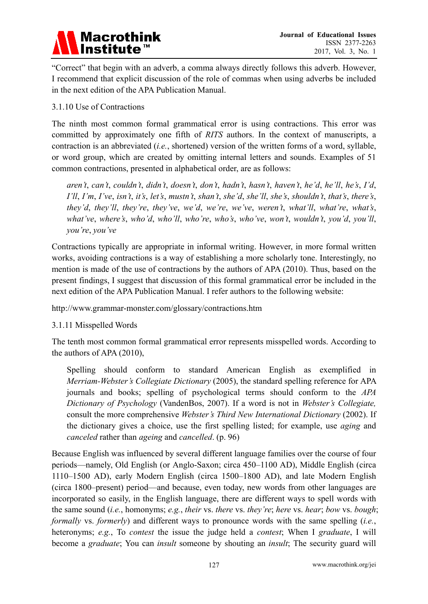

"Correct" that begin with an adverb, a comma always directly follows this adverb. However, I recommend that explicit discussion of the role of commas when using adverbs be included in the next edition of the APA Publication Manual.

# 3.1.10 Use of Contractions

The ninth most common formal grammatical error is using contractions. This error was committed by approximately one fifth of *RITS* authors. In the context of manuscripts, a contraction is an abbreviated (*i.e.*, shortened) version of the written forms of a word, syllable, or word group, which are created by omitting internal letters and sounds. Examples of 51 common contractions, presented in alphabetical order, are as follows:

*aren't*, *can't*, *couldn't*, *didn't*, *doesn't*, *don't*, *hadn't*, *hasn't*, *haven't*, *he'd*, *he'll*, *he's*, *I'd*, *I'll*, *I'm*, *I've*, *isn't*, *it's*, *let's*, *mustn't*, *shan't*, *she'd*, *she'll*, *she's*, *shouldn't*, *that's*, *there's*, *they'd*, *they'll*, *they're*, *they've*, *we'd*, *we're*, *we've*, *weren't*, *what'll*, *what're*, *what's*, *what've*, *where's*, *who'd*, *who'll*, *who're*, *who's*, *who've*, *won't*, *wouldn't*, *you'd*, *you'll*, *you're*, *you've*

Contractions typically are appropriate in informal writing. However, in more formal written works, avoiding contractions is a way of establishing a more scholarly tone. Interestingly, no mention is made of the use of contractions by the authors of APA (2010). Thus, based on the present findings, I suggest that discussion of this formal grammatical error be included in the next edition of the APA Publication Manual. I refer authors to the following website:

http://www.grammar-monster.com/glossary/contractions.htm

3.1.11 Misspelled Words

The tenth most common formal grammatical error represents misspelled words. According to the authors of APA (2010),

Spelling should conform to standard American English as exemplified in *Merriam-Webster's Collegiate Dictionary* (2005), the standard spelling reference for APA journals and books; spelling of psychological terms should conform to the *APA Dictionary of Psychology* (VandenBos, 2007). If a word is not in *Webster's Collegiate,*  consult the more comprehensive *Webster's Third New International Dictionary* (2002). If the dictionary gives a choice, use the first spelling listed; for example, use *aging* and *canceled* rather than *ageing* and *cancelled*. (p. 96)

Because English was influenced by several different language families over the course of four periods—namely, Old English (or Anglo-Saxon; circa 450–1100 AD), Middle English (circa 1110–1500 AD), early Modern English (circa 1500–1800 AD), and late Modern English (circa 1800–present) period—and because, even today, new words from other languages are incorporated so easily, in the English language, there are different ways to spell words with the same sound (*i.e.*, homonyms; *e.g.*, *their* vs. *there* vs. *they're*; *here* vs. *hear*; *bow* vs. *bough*; *formally* vs. *formerly*) and different ways to pronounce words with the same spelling (*i.e.*, heteronyms; *e.g.*, To *contest* the issue the judge held a *contest*; When I *graduate*, I will become a *graduate*; You can *insult* someone by shouting an *insult*; The security guard will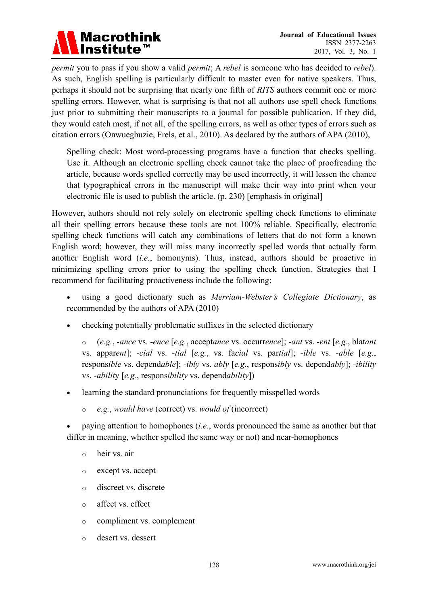

*permit* you to pass if you show a valid *permit*; A *rebel* is someone who has decided to *rebel*). As such, English spelling is particularly difficult to master even for native speakers. Thus, perhaps it should not be surprising that nearly one fifth of *RITS* authors commit one or more spelling errors. However, what is surprising is that not all authors use spell check functions just prior to submitting their manuscripts to a journal for possible publication. If they did, they would catch most, if not all, of the spelling errors, as well as other types of errors such as citation errors (Onwuegbuzie, Frels, et al., 2010). As declared by the authors of APA (2010),

Spelling check: Most word-processing programs have a function that checks spelling. Use it. Although an electronic spelling check cannot take the place of proofreading the article, because words spelled correctly may be used incorrectly, it will lessen the chance that typographical errors in the manuscript will make their way into print when your electronic file is used to publish the article. (p. 230) [emphasis in original]

However, authors should not rely solely on electronic spelling check functions to eliminate all their spelling errors because these tools are not 100% reliable. Specifically, electronic spelling check functions will catch any combinations of letters that do not form a known English word; however, they will miss many incorrectly spelled words that actually form another English word (*i.e.*, homonyms). Thus, instead, authors should be proactive in minimizing spelling errors prior to using the spelling check function. Strategies that I recommend for facilitating proactiveness include the following:

- using a good dictionary such as *Merriam-Webster's Collegiate Dictionary*, as recommended by the authors of APA (2010)
- checking potentially problematic suffixes in the selected dictionary

o (*e.g.*, *-ance* vs. *-ence* [*e.g.*, accept*ance* vs. occurr*ence*]; *-ant* vs. *-ent* [*e.g.*, blat*ant* vs. appar*ent*]; *-cial* vs. *-tial* [*e.g.*, vs. fa*cial* vs. par*tial*]; *-ible* vs. *-able* [*e.g.*, respons*ible* vs. depend*able*]; *-ibly* vs. *ably* [*e.g.*, respons*ibly* vs. depend*ably*]; *-ibility* vs. *-abilit*y [*e.g.*, respons*ibility* vs. depend*ability*])

- learning the standard pronunciations for frequently misspelled words
	- o *e.g.*, *would have* (correct) vs. *would of* (incorrect)

 paying attention to homophones (*i.e.*, words pronounced the same as another but that differ in meaning, whether spelled the same way or not) and near-homophones

- o heir vs. air
- o except vs. accept
- o discreet vs. discrete
- o affect vs. effect
- o compliment vs. complement
- o desert vs. dessert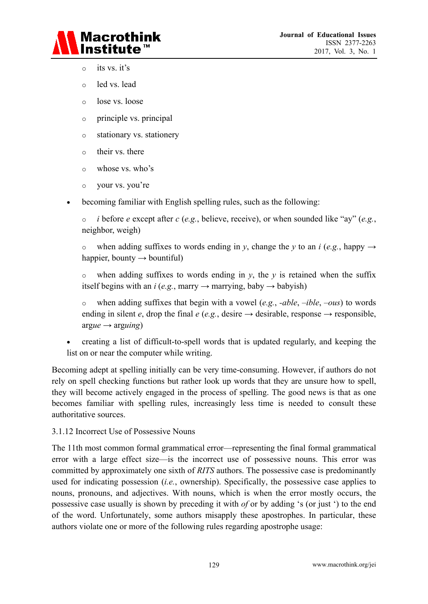

- $\circ$  its vs. it's
- o led vs. lead
- o lose vs. loose
- o principle vs. principal
- o stationary vs. stationery
- o their vs. there
- o whose vs. who's
- o your vs. you're
- becoming familiar with English spelling rules, such as the following:

o *i* before *e* except after *c* (*e.g.*, believe, receive), or when sounded like "ay" (*e.g.*, neighbor, weigh)

o when adding suffixes to words ending in *y*, change the *y* to an *i* (*e.g.*, happy  $\rightarrow$ happier, bounty  $\rightarrow$  bountiful)

 $\circ$  when adding suffixes to words ending in *y*, the *y* is retained when the suffix itself begins with an *i* (*e.g.*, marry  $\rightarrow$  marrying, baby  $\rightarrow$  babyish)

o when adding suffixes that begin with a vowel (*e.g.*, *-able*, *–ible*, *–ous*) to words ending in silent *e*, drop the final *e* (*e.g.*, desire  $\rightarrow$  desirable, response  $\rightarrow$  responsible, arg*ue* → arg*uing*)

 creating a list of difficult-to-spell words that is updated regularly, and keeping the list on or near the computer while writing.

Becoming adept at spelling initially can be very time-consuming. However, if authors do not rely on spell checking functions but rather look up words that they are unsure how to spell, they will become actively engaged in the process of spelling. The good news is that as one becomes familiar with spelling rules, increasingly less time is needed to consult these authoritative sources.

#### 3.1.12 Incorrect Use of Possessive Nouns

The 11th most common formal grammatical error—representing the final formal grammatical error with a large effect size—is the incorrect use of possessive nouns. This error was committed by approximately one sixth of *RITS* authors. The possessive case is predominantly used for indicating possession (*i.e.*, ownership). Specifically, the possessive case applies to nouns, pronouns, and adjectives. With nouns, which is when the error mostly occurs, the possessive case usually is shown by preceding it with *of* or by adding 's (or just ') to the end of the word. Unfortunately, some authors misapply these apostrophes. In particular, these authors violate one or more of the following rules regarding apostrophe usage: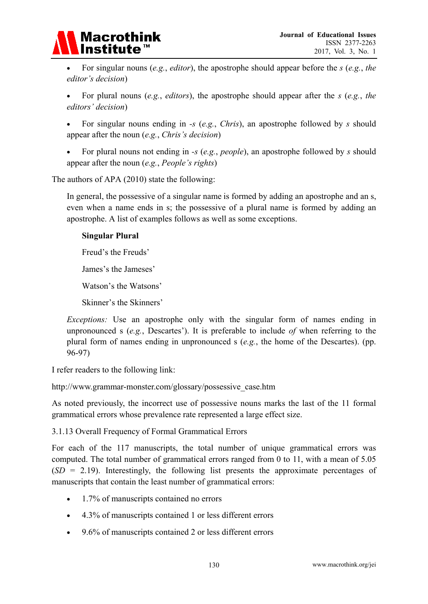



 For singular nouns (*e.g.*, *editor*), the apostrophe should appear before the *s* (*e.g.*, *the editor's decision*)

 For plural nouns (*e.g.*, *editors*), the apostrophe should appear after the *s* (*e.g.*, *the editors' decision*)

 For singular nouns ending in *-s* (*e.g.*, *Chris*), an apostrophe followed by *s* should appear after the noun (*e.g.*, *Chris's decision*)

 For plural nouns not ending in *-s* (*e.g.*, *people*), an apostrophe followed by *s* should appear after the noun (*e.g.*, *People's rights*)

The authors of APA (2010) state the following:

In general, the possessive of a singular name is formed by adding an apostrophe and an s, even when a name ends in s; the possessive of a plural name is formed by adding an apostrophe. A list of examples follows as well as some exceptions.

# **Singular Plural**

Freud's the Freuds'

James's the Jameses'

Watson's the Watsons'

Skinner's the Skinners'

*Exceptions:* Use an apostrophe only with the singular form of names ending in unpronounced s (*e.g.*, Descartes'). It is preferable to include *of* when referring to the plural form of names ending in unpronounced s (*e.g.*, the home of the Descartes). (pp. 96-97)

I refer readers to the following link:

http://www.grammar-monster.com/glossary/possessive\_case.htm

As noted previously, the incorrect use of possessive nouns marks the last of the 11 formal grammatical errors whose prevalence rate represented a large effect size.

3.1.13 Overall Frequency of Formal Grammatical Errors

For each of the 117 manuscripts, the total number of unique grammatical errors was computed. The total number of grammatical errors ranged from 0 to 11, with a mean of 5.05  $(SD = 2.19)$ . Interestingly, the following list presents the approximate percentages of manuscripts that contain the least number of grammatical errors:

- 1.7% of manuscripts contained no errors
- 4.3% of manuscripts contained 1 or less different errors
- 9.6% of manuscripts contained 2 or less different errors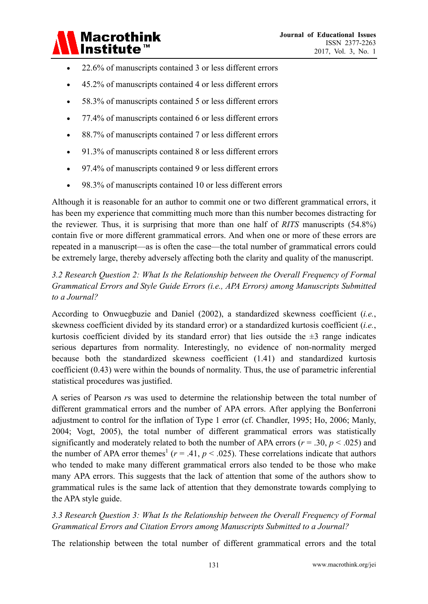

- 22.6% of manuscripts contained 3 or less different errors
- 45.2% of manuscripts contained 4 or less different errors
- 58.3% of manuscripts contained 5 or less different errors
- 77.4% of manuscripts contained 6 or less different errors
- 88.7% of manuscripts contained 7 or less different errors
- 91.3% of manuscripts contained 8 or less different errors
- 97.4% of manuscripts contained 9 or less different errors
- 98.3% of manuscripts contained 10 or less different errors

Although it is reasonable for an author to commit one or two different grammatical errors, it has been my experience that committing much more than this number becomes distracting for the reviewer. Thus, it is surprising that more than one half of *RITS* manuscripts (54.8%) contain five or more different grammatical errors. And when one or more of these errors are repeated in a manuscript—as is often the case—the total number of grammatical errors could be extremely large, thereby adversely affecting both the clarity and quality of the manuscript.

# *3.2 Research Question 2: What Is the Relationship between the Overall Frequency of Formal Grammatical Errors and Style Guide Errors (i.e., APA Errors) among Manuscripts Submitted to a Journal?*

According to Onwuegbuzie and Daniel (2002), a standardized skewness coefficient (*i.e.*, skewness coefficient divided by its standard error) or a standardized kurtosis coefficient (*i.e.*, kurtosis coefficient divided by its standard error) that lies outside the  $\pm 3$  range indicates serious departures from normality. Interestingly, no evidence of non-normality merged because both the standardized skewness coefficient (1.41) and standardized kurtosis coefficient (0.43) were within the bounds of normality. Thus, the use of parametric inferential statistical procedures was justified.

A series of Pearson *r*s was used to determine the relationship between the total number of different grammatical errors and the number of APA errors. After applying the Bonferroni adjustment to control for the inflation of Type 1 error (cf. Chandler, 1995; Ho, 2006; Manly, 2004; Vogt, 2005), the total number of different grammatical errors was statistically significantly and moderately related to both the number of APA errors ( $r = .30$ ,  $p < .025$ ) and the number of APA error themes<sup>1</sup> ( $r = .41$ ,  $p < .025$ ). These correlations indicate that authors who tended to make many different grammatical errors also tended to be those who make many APA errors. This suggests that the lack of attention that some of the authors show to grammatical rules is the same lack of attention that they demonstrate towards complying to the APA style guide.

# *3.3 Research Question 3: What Is the Relationship between the Overall Frequency of Formal Grammatical Errors and Citation Errors among Manuscripts Submitted to a Journal?*

The relationship between the total number of different grammatical errors and the total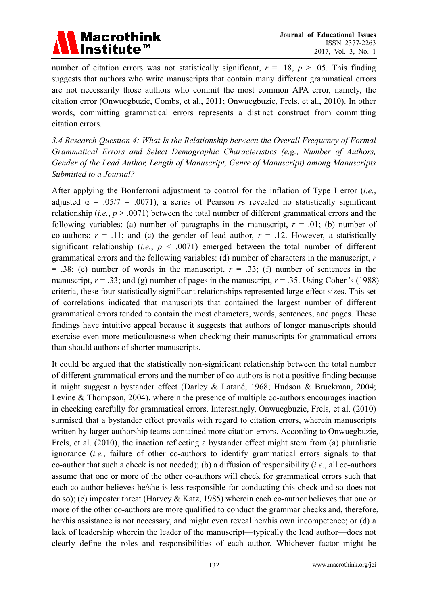

number of citation errors was not statistically significant,  $r = .18$ ,  $p > .05$ . This finding suggests that authors who write manuscripts that contain many different grammatical errors are not necessarily those authors who commit the most common APA error, namely, the citation error (Onwuegbuzie, Combs, et al., 2011; Onwuegbuzie, Frels, et al., 2010). In other words, committing grammatical errors represents a distinct construct from committing citation errors.

*3.4 Research Question 4: What Is the Relationship between the Overall Frequency of Formal Grammatical Errors and Select Demographic Characteristics (e.g., Number of Authors, Gender of the Lead Author, Length of Manuscript, Genre of Manuscript) among Manuscripts Submitted to a Journal?* 

After applying the Bonferroni adjustment to control for the inflation of Type I error (*i.e.*, adjusted  $\alpha = .05/7 = .0071$ , a series of Pearson *r*s revealed no statistically significant relationship (*i.e.*,  $p > .0071$ ) between the total number of different grammatical errors and the following variables: (a) number of paragraphs in the manuscript,  $r = .01$ ; (b) number of co-authors:  $r = .11$ ; and (c) the gender of lead author,  $r = .12$ . However, a statistically significant relationship (*i.e.*,  $p \leq .0071$ ) emerged between the total number of different grammatical errors and the following variables: (d) number of characters in the manuscript, *r*  $= .38$ ; (e) number of words in the manuscript,  $r = .33$ ; (f) number of sentences in the manuscript,  $r = .33$ ; and (g) number of pages in the manuscript,  $r = .35$ . Using Cohen's (1988) criteria, these four statistically significant relationships represented large effect sizes. This set of correlations indicated that manuscripts that contained the largest number of different grammatical errors tended to contain the most characters, words, sentences, and pages. These findings have intuitive appeal because it suggests that authors of longer manuscripts should exercise even more meticulousness when checking their manuscripts for grammatical errors than should authors of shorter manuscripts.

It could be argued that the statistically non-significant relationship between the total number of different grammatical errors and the number of co-authors is not a positive finding because it might suggest a bystander effect (Darley & Latané, 1968; Hudson & Bruckman, 2004; Levine & Thompson, 2004), wherein the presence of multiple co-authors encourages inaction in checking carefully for grammatical errors. Interestingly, Onwuegbuzie, Frels, et al. (2010) surmised that a bystander effect prevails with regard to citation errors, wherein manuscripts written by larger authorship teams contained more citation errors. According to Onwuegbuzie, Frels, et al. (2010), the inaction reflecting a bystander effect might stem from (a) pluralistic ignorance (*i.e.*, failure of other co-authors to identify grammatical errors signals to that co-author that such a check is not needed); (b) a diffusion of responsibility (*i.e.*, all co-authors assume that one or more of the other co-authors will check for grammatical errors such that each co-author believes he/she is less responsible for conducting this check and so does not do so); (c) imposter threat (Harvey & Katz, 1985) wherein each co-author believes that one or more of the other co-authors are more qualified to conduct the grammar checks and, therefore, her/his assistance is not necessary, and might even reveal her/his own incompetence; or (d) a lack of leadership wherein the leader of the manuscript—typically the lead author—does not clearly define the roles and responsibilities of each author. Whichever factor might be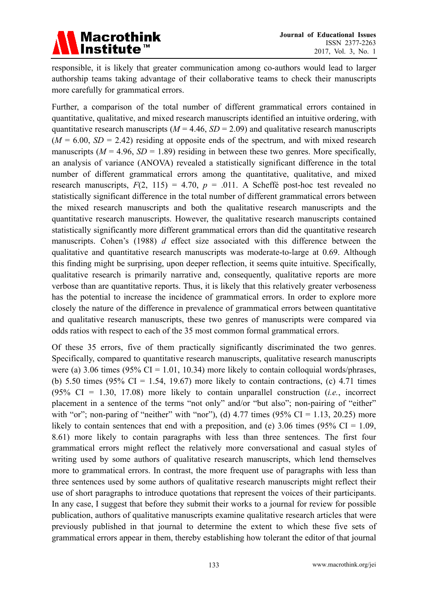

responsible, it is likely that greater communication among co-authors would lead to larger authorship teams taking advantage of their collaborative teams to check their manuscripts more carefully for grammatical errors.

Further, a comparison of the total number of different grammatical errors contained in quantitative, qualitative, and mixed research manuscripts identified an intuitive ordering, with quantitative research manuscripts ( $M = 4.46$ ,  $SD = 2.09$ ) and qualitative research manuscripts  $(M = 6.00, SD = 2.42)$  residing at opposite ends of the spectrum, and with mixed research manuscripts ( $M = 4.96$ ,  $SD = 1.89$ ) residing in between these two genres. More specifically, an analysis of variance (ANOVA) revealed a statistically significant difference in the total number of different grammatical errors among the quantitative, qualitative, and mixed research manuscripts,  $F(2, 115) = 4.70$ ,  $p = .011$ . A Scheffé post-hoc test revealed no statistically significant difference in the total number of different grammatical errors between the mixed research manuscripts and both the qualitative research manuscripts and the quantitative research manuscripts. However, the qualitative research manuscripts contained statistically significantly more different grammatical errors than did the quantitative research manuscripts. Cohen's (1988) *d* effect size associated with this difference between the qualitative and quantitative research manuscripts was moderate-to-large at 0.69. Although this finding might be surprising, upon deeper reflection, it seems quite intuitive. Specifically, qualitative research is primarily narrative and, consequently, qualitative reports are more verbose than are quantitative reports. Thus, it is likely that this relatively greater verboseness has the potential to increase the incidence of grammatical errors. In order to explore more closely the nature of the difference in prevalence of grammatical errors between quantitative and qualitative research manuscripts, these two genres of manuscripts were compared via odds ratios with respect to each of the 35 most common formal grammatical errors.

Of these 35 errors, five of them practically significantly discriminated the two genres. Specifically, compared to quantitative research manuscripts, qualitative research manuscripts were (a) 3.06 times (95% CI = 1.01, 10.34) more likely to contain colloquial words/phrases, (b) 5.50 times (95% CI = 1.54, 19.67) more likely to contain contractions, (c) 4.71 times (95% CI = 1.30, 17.08) more likely to contain unparallel construction (*i.e.*, incorrect placement in a sentence of the terms "not only" and/or "but also"; non-pairing of "either" with "or"; non-paring of "neither" with "nor"), (d)  $4.77$  times ( $95\%$  CI = 1.13, 20.25) more likely to contain sentences that end with a preposition, and (e) 3.06 times (95% CI = 1.09, 8.61) more likely to contain paragraphs with less than three sentences. The first four grammatical errors might reflect the relatively more conversational and casual styles of writing used by some authors of qualitative research manuscripts, which lend themselves more to grammatical errors. In contrast, the more frequent use of paragraphs with less than three sentences used by some authors of qualitative research manuscripts might reflect their use of short paragraphs to introduce quotations that represent the voices of their participants. In any case, I suggest that before they submit their works to a journal for review for possible publication, authors of qualitative manuscripts examine qualitative research articles that were previously published in that journal to determine the extent to which these five sets of grammatical errors appear in them, thereby establishing how tolerant the editor of that journal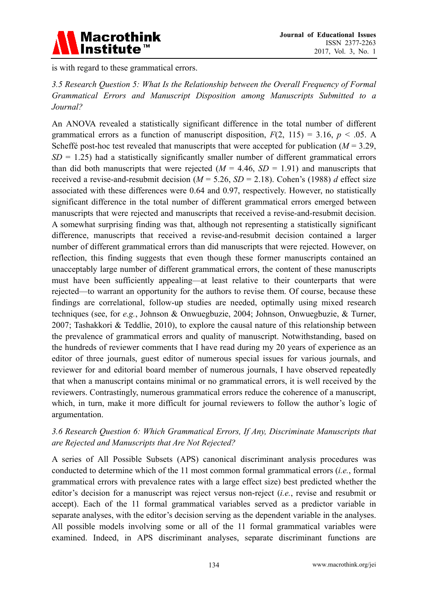

is with regard to these grammatical errors.

*3.5 Research Question 5: What Is the Relationship between the Overall Frequency of Formal Grammatical Errors and Manuscript Disposition among Manuscripts Submitted to a Journal?* 

An ANOVA revealed a statistically significant difference in the total number of different grammatical errors as a function of manuscript disposition,  $F(2, 115) = 3.16$ ,  $p < .05$ . A Scheffé post-hoc test revealed that manuscripts that were accepted for publication  $(M = 3.29)$ ,  $SD = 1.25$ ) had a statistically significantly smaller number of different grammatical errors than did both manuscripts that were rejected  $(M = 4.46, SD = 1.91)$  and manuscripts that received a revise-and-resubmit decision ( $M = 5.26$ ,  $SD = 2.18$ ). Cohen's (1988) *d* effect size associated with these differences were 0.64 and 0.97, respectively. However, no statistically significant difference in the total number of different grammatical errors emerged between manuscripts that were rejected and manuscripts that received a revise-and-resubmit decision. A somewhat surprising finding was that, although not representing a statistically significant difference, manuscripts that received a revise-and-resubmit decision contained a larger number of different grammatical errors than did manuscripts that were rejected. However, on reflection, this finding suggests that even though these former manuscripts contained an unacceptably large number of different grammatical errors, the content of these manuscripts must have been sufficiently appealing—at least relative to their counterparts that were rejected—to warrant an opportunity for the authors to revise them. Of course, because these findings are correlational, follow-up studies are needed, optimally using mixed research techniques (see, for *e.g.*, Johnson & Onwuegbuzie, 2004; Johnson, Onwuegbuzie, & Turner, 2007; Tashakkori & Teddlie, 2010), to explore the causal nature of this relationship between the prevalence of grammatical errors and quality of manuscript. Notwithstanding, based on the hundreds of reviewer comments that I have read during my 20 years of experience as an editor of three journals, guest editor of numerous special issues for various journals, and reviewer for and editorial board member of numerous journals, I have observed repeatedly that when a manuscript contains minimal or no grammatical errors, it is well received by the reviewers. Contrastingly, numerous grammatical errors reduce the coherence of a manuscript, which, in turn, make it more difficult for journal reviewers to follow the author's logic of argumentation.

# *3.6 Research Question 6: Which Grammatical Errors, If Any, Discriminate Manuscripts that are Rejected and Manuscripts that Are Not Rejected?*

A series of All Possible Subsets (APS) canonical discriminant analysis procedures was conducted to determine which of the 11 most common formal grammatical errors (*i.e.*, formal grammatical errors with prevalence rates with a large effect size) best predicted whether the editor's decision for a manuscript was reject versus non-reject (*i.e.*, revise and resubmit or accept). Each of the 11 formal grammatical variables served as a predictor variable in separate analyses, with the editor's decision serving as the dependent variable in the analyses. All possible models involving some or all of the 11 formal grammatical variables were examined. Indeed, in APS discriminant analyses, separate discriminant functions are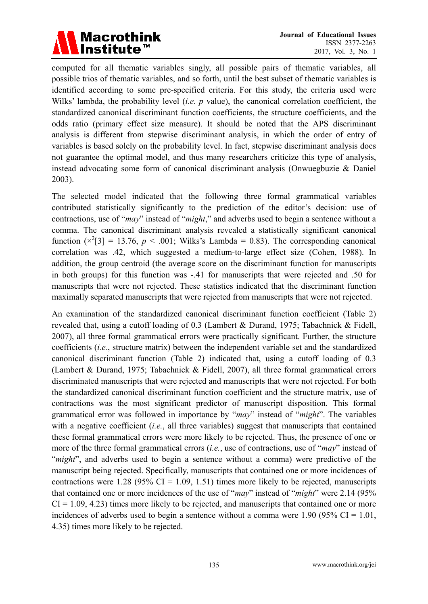

computed for all thematic variables singly, all possible pairs of thematic variables, all possible trios of thematic variables, and so forth, until the best subset of thematic variables is identified according to some pre-specified criteria. For this study, the criteria used were Wilks' lambda, the probability level (*i.e. p* value), the canonical correlation coefficient, the standardized canonical discriminant function coefficients, the structure coefficients, and the odds ratio (primary effect size measure). It should be noted that the APS discriminant analysis is different from stepwise discriminant analysis, in which the order of entry of variables is based solely on the probability level. In fact, stepwise discriminant analysis does not guarantee the optimal model, and thus many researchers criticize this type of analysis, instead advocating some form of canonical discriminant analysis (Onwuegbuzie & Daniel 2003).

The selected model indicated that the following three formal grammatical variables contributed statistically significantly to the prediction of the editor's decision: use of contractions, use of "*may*" instead of "*might*," and adverbs used to begin a sentence without a comma. The canonical discriminant analysis revealed a statistically significant canonical function  $(x^2[3] = 13.76, p < .001$ ; Wilks's Lambda = 0.83). The corresponding canonical correlation was .42, which suggested a medium-to-large effect size (Cohen, 1988). In addition, the group centroid (the average score on the discriminant function for manuscripts in both groups) for this function was -.41 for manuscripts that were rejected and .50 for manuscripts that were not rejected. These statistics indicated that the discriminant function maximally separated manuscripts that were rejected from manuscripts that were not rejected.

An examination of the standardized canonical discriminant function coefficient (Table 2) revealed that, using a cutoff loading of 0.3 (Lambert & Durand, 1975; Tabachnick & Fidell, 2007), all three formal grammatical errors were practically significant. Further, the structure coefficients (*i.e.*, structure matrix) between the independent variable set and the standardized canonical discriminant function (Table 2) indicated that, using a cutoff loading of 0.3 (Lambert & Durand, 1975; Tabachnick & Fidell, 2007), all three formal grammatical errors discriminated manuscripts that were rejected and manuscripts that were not rejected. For both the standardized canonical discriminant function coefficient and the structure matrix, use of contractions was the most significant predictor of manuscript disposition. This formal grammatical error was followed in importance by "*may*" instead of "*might*". The variables with a negative coefficient (*i.e.*, all three variables) suggest that manuscripts that contained these formal grammatical errors were more likely to be rejected. Thus, the presence of one or more of the three formal grammatical errors (*i.e.*, use of contractions, use of "*may*" instead of "*might*", and adverbs used to begin a sentence without a comma) were predictive of the manuscript being rejected. Specifically, manuscripts that contained one or more incidences of contractions were 1.28 (95%  $CI = 1.09, 1.51$ ) times more likely to be rejected, manuscripts that contained one or more incidences of the use of "*may*" instead of "*might*" were 2.14 (95%  $CI = 1.09, 4.23$ ) times more likely to be rejected, and manuscripts that contained one or more incidences of adverbs used to begin a sentence without a comma were  $1.90$  (95% CI =  $1.01$ , 4.35) times more likely to be rejected.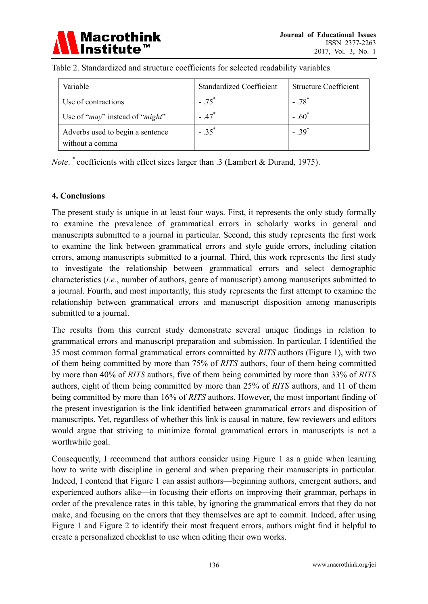

| Variable                                            | <b>Standardized Coefficient</b> | <b>Structure Coefficient</b> |
|-----------------------------------------------------|---------------------------------|------------------------------|
| Use of contractions                                 | $-.75$ <sup>*</sup>             | $-.78$ <sup>*</sup>          |
| Use of " <i>may</i> " instead of " <i>might</i> "   | $-.47$                          | $-.60^*$                     |
| Adverbs used to begin a sentence<br>without a comma | $-.35$ <sup>*</sup>             | $-.39^*$                     |

Table 2. Standardized and structure coefficients for selected readability variables

*Note.* \* coefficients with effect sizes larger than .3 (Lambert & Durand, 1975).

#### **4. Conclusions**

The present study is unique in at least four ways. First, it represents the only study formally to examine the prevalence of grammatical errors in scholarly works in general and manuscripts submitted to a journal in particular. Second, this study represents the first work to examine the link between grammatical errors and style guide errors, including citation errors, among manuscripts submitted to a journal. Third, this work represents the first study to investigate the relationship between grammatical errors and select demographic characteristics (*i.e.*, number of authors, genre of manuscript) among manuscripts submitted to a journal. Fourth, and most importantly, this study represents the first attempt to examine the relationship between grammatical errors and manuscript disposition among manuscripts submitted to a journal.

The results from this current study demonstrate several unique findings in relation to grammatical errors and manuscript preparation and submission. In particular, I identified the 35 most common formal grammatical errors committed by *RITS* authors (Figure 1), with two of them being committed by more than 75% of *RITS* authors, four of them being committed by more than 40% of *RITS* authors, five of them being committed by more than 33% of *RITS* authors, eight of them being committed by more than 25% of *RITS* authors, and 11 of them being committed by more than 16% of *RITS* authors. However, the most important finding of the present investigation is the link identified between grammatical errors and disposition of manuscripts. Yet, regardless of whether this link is causal in nature, few reviewers and editors would argue that striving to minimize formal grammatical errors in manuscripts is not a worthwhile goal.

Consequently, I recommend that authors consider using Figure 1 as a guide when learning how to write with discipline in general and when preparing their manuscripts in particular. Indeed, I contend that Figure 1 can assist authors—beginning authors, emergent authors, and experienced authors alike—in focusing their efforts on improving their grammar, perhaps in order of the prevalence rates in this table, by ignoring the grammatical errors that they do not make, and focusing on the errors that they themselves are apt to commit. Indeed, after using Figure 1 and Figure 2 to identify their most frequent errors, authors might find it helpful to create a personalized checklist to use when editing their own works.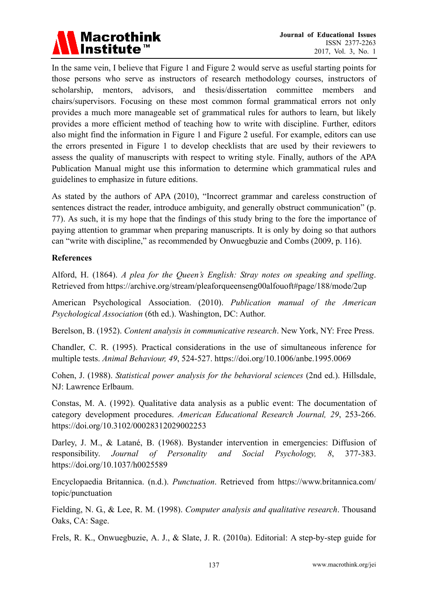

In the same vein, I believe that Figure 1 and Figure 2 would serve as useful starting points for those persons who serve as instructors of research methodology courses, instructors of scholarship, mentors, advisors, and thesis/dissertation committee members and chairs/supervisors. Focusing on these most common formal grammatical errors not only provides a much more manageable set of grammatical rules for authors to learn, but likely provides a more efficient method of teaching how to write with discipline. Further, editors also might find the information in Figure 1 and Figure 2 useful. For example, editors can use the errors presented in Figure 1 to develop checklists that are used by their reviewers to assess the quality of manuscripts with respect to writing style. Finally, authors of the APA Publication Manual might use this information to determine which grammatical rules and guidelines to emphasize in future editions.

As stated by the authors of APA (2010), "Incorrect grammar and careless construction of sentences distract the reader, introduce ambiguity, and generally obstruct communication" (p. 77). As such, it is my hope that the findings of this study bring to the fore the importance of paying attention to grammar when preparing manuscripts. It is only by doing so that authors can "write with discipline," as recommended by Onwuegbuzie and Combs (2009, p. 116).

# **References**

Alford, H. (1864). *A plea for the Queen's English: Stray notes on speaking and spelling*. Retrieved from https://archive.org/stream/pleaforqueenseng00alfouoft#page/188/mode/2up

American Psychological Association. (2010). *Publication manual of the American Psychological Association* (6th ed.). Washington, DC: Author.

Berelson, B. (1952). *Content analysis in communicative research*. New York, NY: Free Press.

Chandler, C. R. (1995). Practical considerations in the use of simultaneous inference for multiple tests. *Animal Behaviour, 49*, 524-527. https://doi.org/10.1006/anbe.1995.0069

Cohen, J. (1988). *Statistical power analysis for the behavioral sciences* (2nd ed.). Hillsdale, NJ: Lawrence Erlbaum.

Constas, M. A. (1992). Qualitative data analysis as a public event: The documentation of category development procedures. *American Educational Research Journal, 29*, 253-266. https://doi.org/10.3102/00028312029002253

Darley, J. M., & Latané, B. (1968). Bystander intervention in emergencies: Diffusion of responsibility. *Journal of Personality and Social Psychology, 8*, 377-383. https://doi.org/10.1037/h0025589

Encyclopaedia Britannica. (n.d.). *Punctuation*. Retrieved from https://www.britannica.com/ topic/punctuation

Fielding, N. G., & Lee, R. M. (1998). *Computer analysis and qualitative research*. Thousand Oaks, CA: Sage.

Frels, R. K., Onwuegbuzie, A. J., & Slate, J. R. (2010a). Editorial: A step-by-step guide for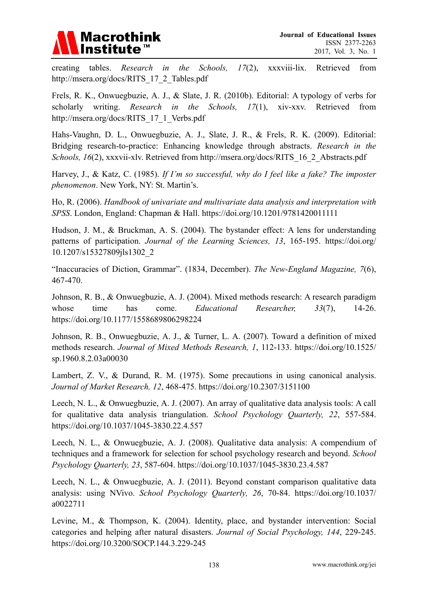

creating tables. *Research in the Schools, 17*(2), xxxviii-lix. Retrieved from http://msera.org/docs/RITS\_17\_2\_Tables.pdf

Frels, R. K., Onwuegbuzie, A. J., & Slate, J. R. (2010b). Editorial: A typology of verbs for scholarly writing. *Research in the Schools, 17*(1), xiv-xxv. Retrieved from http://msera.org/docs/RITS\_17\_1\_Verbs.pdf

Hahs-Vaughn, D. L., Onwuegbuzie, A. J., Slate, J. R., & Frels, R. K. (2009). Editorial: Bridging research-to-practice: Enhancing knowledge through abstracts. *Research in the Schools, 16*(2), xxxvii-xlv. Retrieved from http://msera.org/docs/RITS\_16\_2\_Abstracts.pdf

Harvey, J., & Katz, C. (1985). *If I'm so successful, why do I feel like a fake? The imposter phenomenon*. New York, NY: St. Martin's.

Ho, R. (2006). *Handbook of univariate and multivariate data analysis and interpretation with SPSS*. London, England: Chapman & Hall. https://doi.org/10.1201/9781420011111

Hudson, J. M., & Bruckman, A. S. (2004). The bystander effect: A lens for understanding patterns of participation. *Journal of the Learning Sciences, 13*, 165-195. https://doi.org/ 10.1207/s15327809jls1302\_2

"Inaccuracies of Diction, Grammar". (1834, December). *The New-England Magazine, 7*(6), 467-470.

Johnson, R. B., & Onwuegbuzie, A. J. (2004). Mixed methods research: A research paradigm whose time has come. *Educational Researcher, 33*(7), 14-26. https://doi.org/10.1177/1558689806298224

Johnson, R. B., Onwuegbuzie, A. J., & Turner, L. A. (2007). Toward a definition of mixed methods research. *Journal of Mixed Methods Research, 1*, 112-133. https://doi.org/10.1525/ sp.1960.8.2.03a00030

Lambert, Z. V., & Durand, R. M. (1975). Some precautions in using canonical analysis. *Journal of Market Research, 12*, 468-475. https://doi.org/10.2307/3151100

Leech, N. L., & Onwuegbuzie, A. J. (2007). An array of qualitative data analysis tools: A call for qualitative data analysis triangulation. *School Psychology Quarterly, 22*, 557-584. https://doi.org/10.1037/1045-3830.22.4.557

Leech, N. L., & Onwuegbuzie, A. J. (2008). Qualitative data analysis: A compendium of techniques and a framework for selection for school psychology research and beyond. *School Psychology Quarterly, 23*, 587-604. https://doi.org/10.1037/1045-3830.23.4.587

Leech, N. L., & Onwuegbuzie, A. J. (2011). Beyond constant comparison qualitative data analysis: using NVivo. *School Psychology Quarterly, 26*, 70-84. https://doi.org/10.1037/ a0022711

Levine, M., & Thompson, K. (2004). Identity, place, and bystander intervention: Social categories and helping after natural disasters. *Journal of Social Psychology, 144*, 229-245. https://doi.org/10.3200/SOCP.144.3.229-245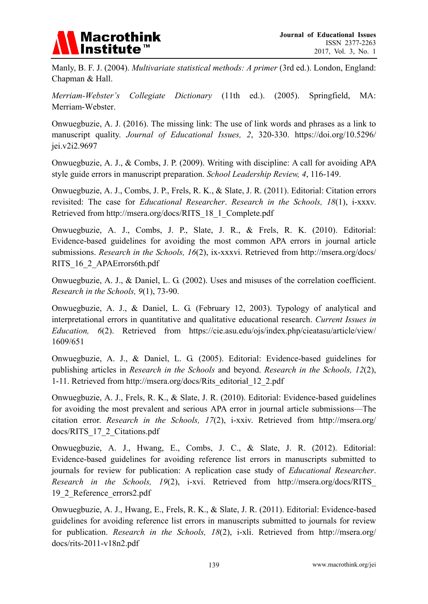

Manly, B. F. J. (2004). *Multivariate statistical methods: A primer* (3rd ed.). London, England: Chapman & Hall.

*Merriam-Webster's Collegiate Dictionary* (11th ed.). (2005). Springfield, MA: Merriam-Webster.

Onwuegbuzie, A. J. (2016). The missing link: The use of link words and phrases as a link to manuscript quality. *Journal of Educational Issues, 2*, 320-330. https://doi.org/10.5296/ jei.v2i2.9697

Onwuegbuzie, A. J., & Combs, J. P. (2009). Writing with discipline: A call for avoiding APA style guide errors in manuscript preparation. *School Leadership Review, 4*, 116-149.

Onwuegbuzie, A. J., Combs, J. P., Frels, R. K., & Slate, J. R. (2011). Editorial: Citation errors revisited: The case for *Educational Researcher*. *Research in the Schools, 18*(1), i-xxxv. Retrieved from http://msera.org/docs/RITS\_18\_1\_Complete.pdf

Onwuegbuzie, A. J., Combs, J. P., Slate, J. R., & Frels, R. K. (2010). Editorial: Evidence-based guidelines for avoiding the most common APA errors in journal article submissions. *Research in the Schools, 16*(2), ix-xxxvi. Retrieved from http://msera.org/docs/ RITS\_16\_2\_APAErrors6th.pdf

Onwuegbuzie, A. J., & Daniel, L. G. (2002). Uses and misuses of the correlation coefficient. *Research in the Schools, 9*(1), 73-90.

Onwuegbuzie, A. J., & Daniel, L. G. (February 12, 2003). Typology of analytical and interpretational errors in quantitative and qualitative educational research. *Current Issues in Education, 6*(2). Retrieved from https://cie.asu.edu/ojs/index.php/cieatasu/article/view/ 1609/651

Onwuegbuzie, A. J., & Daniel, L. G. (2005). Editorial: Evidence-based guidelines for publishing articles in *Research in the Schools* and beyond. *Research in the Schools, 12*(2), 1-11. Retrieved from http://msera.org/docs/Rits\_editorial\_12\_2.pdf

Onwuegbuzie, A. J., Frels, R. K., & Slate, J. R. (2010). Editorial: Evidence-based guidelines for avoiding the most prevalent and serious APA error in journal article submissions—The citation error. *Research in the Schools, 17*(2), i-xxiv. Retrieved from http://msera.org/ docs/RITS\_17\_2\_Citations.pdf

Onwuegbuzie, A. J., Hwang, E., Combs, J. C., & Slate, J. R. (2012). Editorial: Evidence-based guidelines for avoiding reference list errors in manuscripts submitted to journals for review for publication: A replication case study of *Educational Researcher*. *Research in the Schools, 19*(2), i-xvi. Retrieved from http://msera.org/docs/RITS\_ 19\_2\_Reference\_errors2.pdf

Onwuegbuzie, A. J., Hwang, E., Frels, R. K., & Slate, J. R. (2011). Editorial: Evidence-based guidelines for avoiding reference list errors in manuscripts submitted to journals for review for publication. *Research in the Schools, 18*(2), i-xli. Retrieved from http://msera.org/ docs/rits-2011-v18n2.pdf